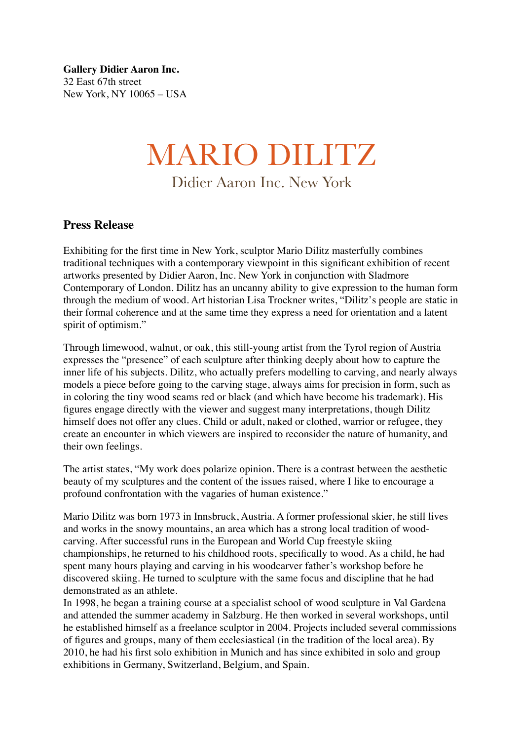**Gallery Didier Aaron Inc.** 32 East 67th street New York, NY 10065 – USA

## MARIO DILITZ Didier Aaron Inc. New York

## **Press Release**

Exhibiting for the first time in New York, sculptor Mario Dilitz masterfully combines traditional techniques with a contemporary viewpoint in this significant exhibition of recent artworks presented by Didier Aaron, Inc. New York in conjunction with Sladmore Contemporary of London. Dilitz has an uncanny ability to give expression to the human form through the medium of wood. Art historian Lisa Trockner writes, "Dilitz's people are static in their formal coherence and at the same time they express a need for orientation and a latent spirit of optimism."

Through limewood, walnut, or oak, this still-young artist from the Tyrol region of Austria expresses the "presence" of each sculpture after thinking deeply about how to capture the inner life of his subjects. Dilitz, who actually prefers modelling to carving, and nearly always models a piece before going to the carving stage, always aims for precision in form, such as in coloring the tiny wood seams red or black (and which have become his trademark). His figures engage directly with the viewer and suggest many interpretations, though Dilitz himself does not offer any clues. Child or adult, naked or clothed, warrior or refugee, they create an encounter in which viewers are inspired to reconsider the nature of humanity, and their own feelings.

The artist states, "My work does polarize opinion. There is a contrast between the aesthetic beauty of my sculptures and the content of the issues raised, where I like to encourage a profound confrontation with the vagaries of human existence."

Mario Dilitz was born 1973 in Innsbruck, Austria. A former professional skier, he still lives and works in the snowy mountains, an area which has a strong local tradition of woodcarving. After successful runs in the European and World Cup freestyle skiing championships, he returned to his childhood roots, specifically to wood. As a child, he had spent many hours playing and carving in his woodcarver father's workshop before he discovered skiing. He turned to sculpture with the same focus and discipline that he had demonstrated as an athlete.

In 1998, he began a training course at a specialist school of wood sculpture in Val Gardena and attended the summer academy in Salzburg. He then worked in several workshops, until he established himself as a freelance sculptor in 2004. Projects included several commissions of figures and groups, many of them ecclesiastical (in the tradition of the local area). By 2010, he had his first solo exhibition in Munich and has since exhibited in solo and group exhibitions in Germany, Switzerland, Belgium, and Spain.